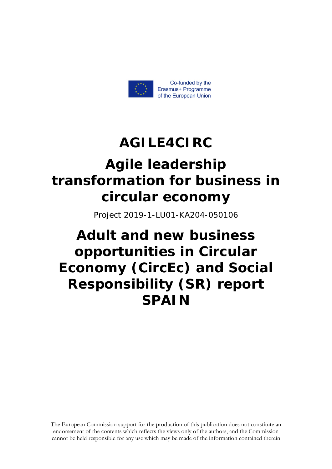

## **AGILE4CIRC Αgile leadership transformation for business in circular economy**

Project 2019-1-LU01-KA204-050106

### **Adult and new business opportunities in Circular Economy (CircEc) and Social Responsibility (SR) report SPAIN**

The European Commission support for the production of this publication does not constitute an endorsement of the contents which reflects the views only of the authors, and the Commission cannot be held responsible for any use which may be made of the information contained therein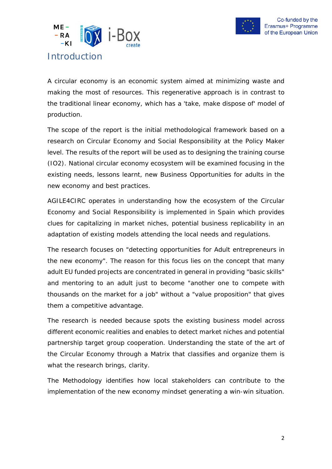



<span id="page-1-0"></span>A circular economy is an economic system aimed at minimizing waste and making the most of resources. This regenerative approach is in contrast to the traditional linear economy, which has a 'take, make dispose of' model of production.

The scope of the report is the initial methodological framework based on a research on Circular Economy and Social Responsibility at the Policy Maker level. The results of the report will be used as to designing the training course (IO2). National circular economy ecosystem will be examined focusing in the existing needs, lessons learnt, new Business Opportunities for adults in the new economy and best practices.

AGILE4CIRC operates in understanding how the ecosystem of the Circular Economy and Social Responsibility is implemented in Spain which provides clues for capitalizing in market niches, potential business replicability in an adaptation of existing models attending the local needs and regulations.

The research focuses on "detecting opportunities for Adult entrepreneurs in the new economy". The reason for this focus lies on the concept that many adult EU funded projects are concentrated in general in providing "basic skills" and mentoring to an adult just to become "another one to compete with thousands on the market for a job" without a "value proposition" that gives them a competitive advantage.

The research is needed because spots the existing business model across different economic realities and enables to detect market niches and potential partnership target group cooperation. Understanding the state of the art of the Circular Economy through a Matrix that classifies and organize them is what the research brings, clarity.

The Methodology identifies how local stakeholders can contribute to the implementation of the new economy mindset generating a win-win situation.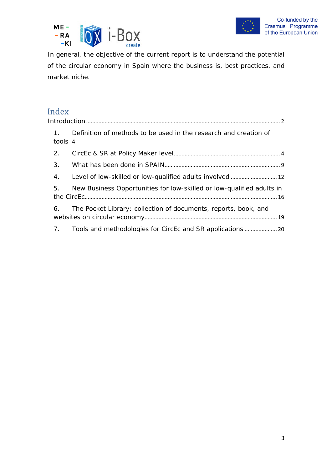



In general, the objective of the current report is to understand the potential of the circular economy in Spain where the business is, best practices, and market niche.

# Index<br>Introdu

|  | $\mathbf{1}$ .<br>tools 4 | Definition of methods to be used in the research and creation of      |  |
|--|---------------------------|-----------------------------------------------------------------------|--|
|  | 2.                        |                                                                       |  |
|  | 3.                        |                                                                       |  |
|  | 4.                        | Level of low-skilled or low-qualified adults involved  12             |  |
|  | 5.                        | New Business Opportunities for low-skilled or low-qualified adults in |  |
|  | 6.                        | The Pocket Library: collection of documents, reports, book, and       |  |
|  | 7.                        |                                                                       |  |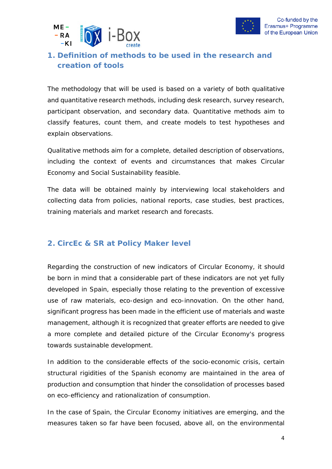



#### <span id="page-3-0"></span>**1. Definition of methods to be used in the research and creation of tools**

The methodology that will be used is based on a variety of both qualitative and quantitative research methods, including desk research, survey research, participant observation, and secondary data. Quantitative methods aim to classify features, count them, and create models to test hypotheses and explain observations.

Qualitative methods aim for a complete, detailed description of observations, including the context of events and circumstances that makes Circular Economy and Social Sustainability feasible.

The data will be obtained mainly by interviewing local stakeholders and collecting data from policies, national reports, case studies, best practices, training materials and market research and forecasts.

#### <span id="page-3-1"></span>**2. CircEc & SR at Policy Maker level**

Regarding the construction of new indicators of Circular Economy, it should be born in mind that a considerable part of these indicators are not yet fully developed in Spain, especially those relating to the prevention of excessive use of raw materials, eco-design and eco-innovation. On the other hand, significant progress has been made in the efficient use of materials and waste management, although it is recognized that greater efforts are needed to give a more complete and detailed picture of the Circular Economy's progress towards sustainable development.

In addition to the considerable effects of the socio-economic crisis, certain structural rigidities of the Spanish economy are maintained in the area of production and consumption that hinder the consolidation of processes based on eco-efficiency and rationalization of consumption.

In the case of Spain, the Circular Economy initiatives are emerging, and the measures taken so far have been focused, above all, on the environmental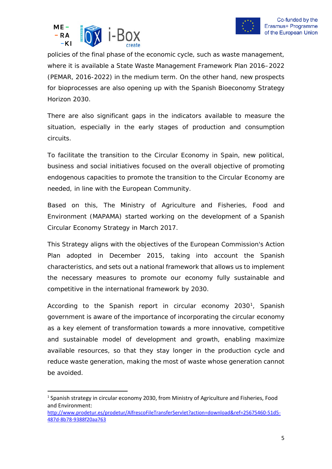



policies of the final phase of the economic cycle, such as waste management, where it is available a State Waste Management Framework Plan 2016–2022 (PEMAR, 2016-2022) in the medium term. On the other hand, new prospects for bioprocesses are also opening up with the Spanish Bioeconomy Strategy Horizon 2030.

There are also significant gaps in the indicators available to measure the situation, especially in the early stages of production and consumption circuits.

To facilitate the transition to the Circular Economy in Spain, new political, business and social initiatives focused on the overall objective of promoting endogenous capacities to promote the transition to the Circular Economy are needed, in line with the European Community.

Based on this, The Ministry of Agriculture and Fisheries, Food and Environment (MAPAMA) started working on the development of a Spanish Circular Economy Strategy in March 2017.

This Strategy aligns with the objectives of the European Commission's Action Plan adopted in December 2015, taking into account the Spanish characteristics, and sets out a national framework that allows us to implement the necessary measures to promote our economy fully sustainable and competitive in the international framework by 2030.

According to the Spanish report in circular economy 2030<sup>[1](#page-4-0)</sup>, Spanish government is aware of the importance of incorporating the circular economy as a key element of transformation towards a more innovative, competitive and sustainable model of development and growth, enabling maximize available resources, so that they stay longer in the production cycle and reduce waste generation, making the most of waste whose generation cannot be avoided.

<span id="page-4-0"></span><sup>1</sup> Spanish strategy in circular economy 2030, from Ministry of Agriculture and Fisheries, Food and Environment:

[http://www.prodetur.es/prodetur/AlfrescoFileTransferServlet?action=download&ref=25675460-51d5-](http://www.prodetur.es/prodetur/AlfrescoFileTransferServlet?action=download&ref=25675460-51d5-487d-8b78-9388f20aa763) [487d-8b78-9388f20aa763](http://www.prodetur.es/prodetur/AlfrescoFileTransferServlet?action=download&ref=25675460-51d5-487d-8b78-9388f20aa763)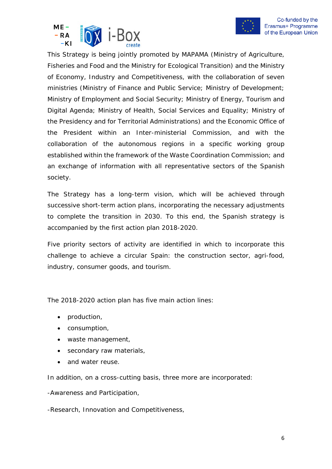



This Strategy is being jointly promoted by MAPAMA (Ministry of Agriculture, Fisheries and Food and the Ministry for Ecological Transition) and the Ministry of Economy, Industry and Competitiveness, with the collaboration of seven ministries (Ministry of Finance and Public Service; Ministry of Development; Ministry of Employment and Social Security; Ministry of Energy, Tourism and Digital Agenda; Ministry of Health, Social Services and Equality; Ministry of the Presidency and for Territorial Administrations) and the Economic Office of the President within an Inter-ministerial Commission, and with the collaboration of the autonomous regions in a specific working group established within the framework of the Waste Coordination Commission; and an exchange of information with all representative sectors of the Spanish society.

The Strategy has a long-term vision, which will be achieved through successive short-term action plans, incorporating the necessary adjustments to complete the transition in 2030. To this end, the Spanish strategy is accompanied by the first action plan 2018-2020.

Five priority sectors of activity are identified in which to incorporate this challenge to achieve a circular Spain: the construction sector, agri-food, industry, consumer goods, and tourism.

The 2018-2020 action plan has five main action lines:

- production,
- consumption,
- waste management,
- secondary raw materials,
- and water reuse.

In addition, on a cross-cutting basis, three more are incorporated:

-Awareness and Participation,

-Research, Innovation and Competitiveness,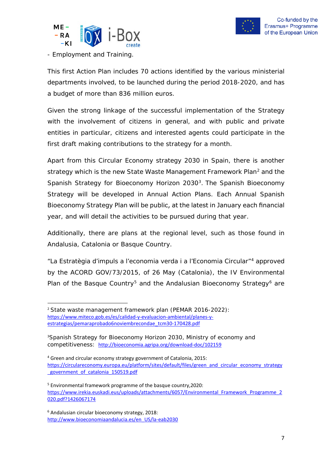



- Employment and Training.

This first Action Plan includes 70 actions identified by the various ministerial departments involved, to be launched during the period 2018-2020, and has a budget of more than 836 million euros.

Given the strong linkage of the successful implementation of the Strategy with the involvement of citizens in general, and with public and private entities in particular, citizens and interested agents could participate in the first draft making contributions to the strategy for a month.

Apart from this Circular Economy strategy 2030 in Spain, there is another strategy which is the new State Waste Management Framework Plan<sup>[2](#page-6-0)</sup> and the Spanish Strategy for Bioeconomy Horizon 2030<sup>3</sup>. The Spanish Bioeconomy Strategy will be developed in Annual Action Plans. Each Annual Spanish Bioeconomy Strategy Plan will be public, at the latest in January each financial year, and will detail the activities to be pursued during that year.

Additionally, there are plans at the regional level, such as those found in Andalusia, Catalonia or Basque Country.

"La Estratègia d'impuls a l'economia verda i a l'Economia Circular"[4](#page-6-2) approved by the ACORD GOV/73/2015, of 26 May (Catalonia), the IV Environmental Plan of the Basque Country<sup>[5](#page-6-3)</sup> and the Andalusian Bioeconomy Strategy<sup>[6](#page-6-4)</sup> are

<span id="page-6-0"></span><sup>2</sup> State waste management framework plan (PEMAR 2016-2022): [https://www.miteco.gob.es/es/calidad-y-evaluacion-ambiental/planes-y](https://www.miteco.gob.es/es/calidad-y-evaluacion-ambiental/planes-y-estrategias/pemaraprobado6noviembrecondae_tcm30-170428.pdf)[estrategias/pemaraprobado6noviembrecondae\\_tcm30-170428.pdf](https://www.miteco.gob.es/es/calidad-y-evaluacion-ambiental/planes-y-estrategias/pemaraprobado6noviembrecondae_tcm30-170428.pdf)

<span id="page-6-1"></span><sup>3</sup> Spanish Strategy for Bioeconomy Horizon 2030, Ministry of economy and competitiveness: <http://bioeconomia.agripa.org/download-doc/102159>

<span id="page-6-2"></span><sup>4</sup> Green and circular economy strategy government of Catalonia, 2015: [https://circulareconomy.europa.eu/platform/sites/default/files/green\\_and\\_circular\\_economy\\_strategy](https://circulareconomy.europa.eu/platform/sites/default/files/green_and_circular_economy_strategy_government_of_catalonia_150519.pdf)\_ government of catalonia 150519.pdf

<span id="page-6-3"></span><sup>5</sup> Environmental framework programme of the basque country,2020: [https://www.irekia.euskadi.eus/uploads/attachments/6057/Environmental\\_Framework\\_Programme\\_2](https://www.irekia.euskadi.eus/uploads/attachments/6057/Environmental_Framework_Programme_2020.pdf?1426067174) [020.pdf?1426067174](https://www.irekia.euskadi.eus/uploads/attachments/6057/Environmental_Framework_Programme_2020.pdf?1426067174)

<span id="page-6-4"></span><sup>6</sup> Andalusian circular bioeconomy strategy, 2018: [http://www.bioeconomiaandalucia.es/en\\_US/la-eab2030](http://www.bioeconomiaandalucia.es/en_US/la-eab2030)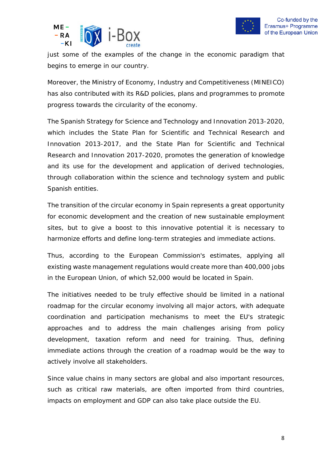



just some of the examples of the change in the economic paradigm that begins to emerge in our country.

Moreover, the Ministry of Economy, Industry and Competitiveness (MINEICO) has also contributed with its R&D policies, plans and programmes to promote progress towards the circularity of the economy.

The Spanish Strategy for Science and Technology and Innovation 2013-2020, which includes the State Plan for Scientific and Technical Research and Innovation 2013-2017, and the State Plan for Scientific and Technical Research and Innovation 2017-2020, promotes the generation of knowledge and its use for the development and application of derived technologies, through collaboration within the science and technology system and public Spanish entities.

The transition of the circular economy in Spain represents a great opportunity for economic development and the creation of new sustainable employment sites, but to give a boost to this innovative potential it is necessary to harmonize efforts and define long-term strategies and immediate actions.

Thus, according to the European Commission's estimates, applying all existing waste management regulations would create more than 400,000 jobs in the European Union, of which 52,000 would be located in Spain.

The initiatives needed to be truly effective should be limited in a national roadmap for the circular economy involving all major actors, with adequate coordination and participation mechanisms to meet the EU's strategic approaches and to address the main challenges arising from policy development, taxation reform and need for training. Thus, defining immediate actions through the creation of a roadmap would be the way to actively involve all stakeholders.

Since value chains in many sectors are global and also important resources, such as critical raw materials, are often imported from third countries, impacts on employment and GDP can also take place outside the EU.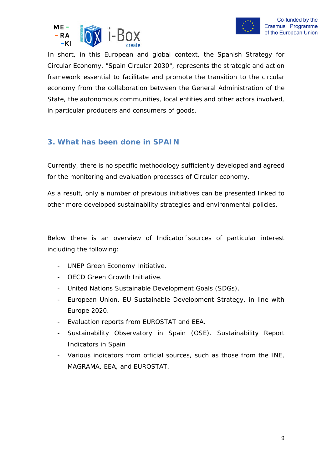



In short, in this European and global context, the Spanish Strategy for Circular Economy, "Spain Circular 2030", represents the strategic and action framework essential to facilitate and promote the transition to the circular economy from the collaboration between the General Administration of the State, the autonomous communities, local entities and other actors involved, in particular producers and consumers of goods.

#### <span id="page-8-0"></span>**3. What has been done in SPAIN**

Currently, there is no specific methodology sufficiently developed and agreed for the monitoring and evaluation processes of Circular economy.

As a result, only a number of previous initiatives can be presented linked to other more developed sustainability strategies and environmental policies.

Below there is an overview of Indicator´sources of particular interest including the following:

- UNEP Green Economy Initiative.
- OECD Green Growth Initiative.
- United Nations Sustainable Development Goals (SDGs).
- European Union, EU Sustainable Development Strategy, in line with Europe 2020.
- Evaluation reports from EUROSTAT and EEA.
- Sustainability Observatory in Spain (OSE). Sustainability Report Indicators in Spain
- Various indicators from official sources, such as those from the INE, MAGRAMA, EEA, and EUROSTAT.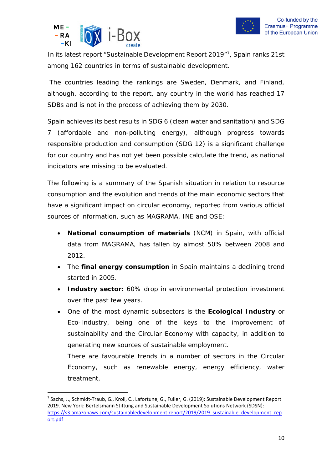



In its latest report "Sustainable Development Report 2019["7,](#page-9-0) Spain ranks 21st among 162 countries in terms of sustainable development.

The countries leading the rankings are Sweden, Denmark, and Finland, although, according to the report, any country in the world has reached 17 SDBs and is not in the process of achieving them by 2030.

Spain achieves its best results in SDG 6 (clean water and sanitation) and SDG 7 (affordable and non-polluting energy), although progress towards responsible production and consumption (SDG 12) is a significant challenge for our country and has not yet been possible calculate the trend, as national indicators are missing to be evaluated.

The following is a summary of the Spanish situation in relation to resource consumption and the evolution and trends of the main economic sectors that have a significant impact on circular economy, reported from various official sources of information, such as MAGRAMA, INE and OSE:

- **National consumption of materials** (NCM) in Spain, with official data from MAGRAMA, has fallen by almost 50% between 2008 and 2012.
- The **final energy consumption** in Spain maintains a declining trend started in 2005.
- **Industry sector:** 60% drop in environmental protection investment over the past few years.
- One of the most dynamic subsectors is the **Ecological Industry** or Eco-Industry, being one of the keys to the improvement of sustainability and the Circular Economy with capacity, in addition to generating new sources of sustainable employment.

There are favourable trends in a number of sectors in the Circular Economy, such as renewable energy, energy efficiency, water treatment,

<span id="page-9-0"></span><sup>7</sup> Sachs, J., Schmidt-Traub, G., Kroll, C., Lafortune, G., Fuller, G. (2019): Sustainable Development Report 2019. New York: Bertelsmann Stiftung and Sustainable Development Solutions Network (SDSN): [https://s3.amazonaws.com/sustainabledevelopment.report/2019/2019\\_sustainable\\_development\\_rep](https://s3.amazonaws.com/sustainabledevelopment.report/2019/2019_sustainable_development_report.pdf) [ort.pdf](https://s3.amazonaws.com/sustainabledevelopment.report/2019/2019_sustainable_development_report.pdf)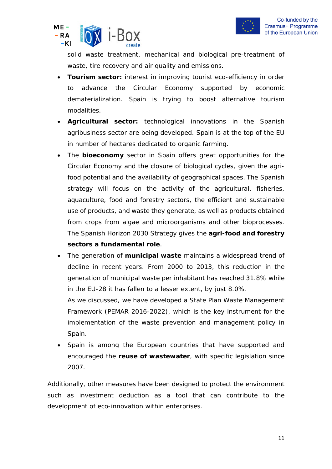

solid waste treatment, mechanical and biological pre-treatment of waste, tire recovery and air quality and emissions.

- **Tourism sector:** interest in improving tourist eco-efficiency in order to advance the Circular Economy supported by economic dematerialization. Spain is trying to boost alternative tourism modalities.
- **Agricultural sector:** technological innovations in the Spanish agribusiness sector are being developed. Spain is at the top of the EU in number of hectares dedicated to organic farming.
- The **bioeconomy** sector in Spain offers great opportunities for the Circular Economy and the closure of biological cycles, given the agrifood potential and the availability of geographical spaces. The Spanish strategy will focus on the activity of the agricultural, fisheries, aquaculture, food and forestry sectors, the efficient and sustainable use of products, and waste they generate, as well as products obtained from crops from algae and microorganisms and other bioprocesses. The Spanish Horizon 2030 Strategy gives the **agri-food and forestry sectors a fundamental role**.
- The generation of **municipal waste** maintains a widespread trend of decline in recent years. From 2000 to 2013, this reduction in the generation of municipal waste per inhabitant has reached 31.8% while in the EU-28 it has fallen to a lesser extent, by just 8.0%.

As we discussed, we have developed a State Plan Waste Management Framework (PEMAR 2016-2022), which is the key instrument for the implementation of the waste prevention and management policy in Spain.

• Spain is among the European countries that have supported and encouraged the **reuse of wastewater**, with specific legislation since 2007.

Additionally, other measures have been designed to protect the environment such as investment deduction as a tool that can contribute to the development of eco-innovation within enterprises.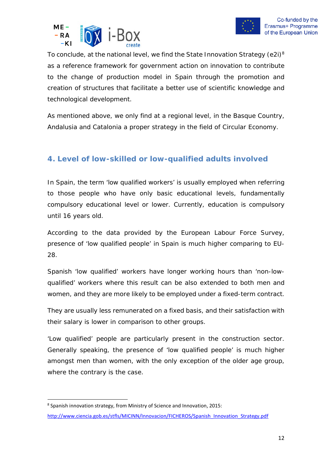



To conclude, at the national level, we find the State Innovation Strategy (e2i)<sup>[8](#page-11-1)</sup> as a reference framework for government action on innovation to contribute to the change of production model in Spain through the promotion and creation of structures that facilitate a better use of scientific knowledge and technological development.

As mentioned above, we only find at a regional level, in the Basque Country, Andalusia and Catalonia a proper strategy in the field of Circular Economy.

#### <span id="page-11-0"></span>**4. Level of low-skilled or low-qualified adults involved**

In Spain, the term 'low qualified workers' is usually employed when referring to those people who have only basic educational levels, fundamentally compulsory educational level or lower. Currently, education is compulsory until 16 years old.

According to the data provided by the European Labour Force Survey, presence of 'low qualified people' in Spain is much higher comparing to EU-28.

Spanish 'low qualified' workers have longer working hours than 'non-lowqualified' workers where this result can be also extended to both men and women, and they are more likely to be employed under a fixed-term contract.

They are usually less remunerated on a fixed basis, and their satisfaction with their salary is lower in comparison to other groups.

'Low qualified' people are particularly present in the construction sector. Generally speaking, the presence of 'low qualified people' is much higher amongst men than women, with the only exception of the older age group, where the contrary is the case.

<span id="page-11-1"></span><sup>8</sup> Spanish innovation strategy, from Ministry of Science and Innovation, 2015:

[http://www.ciencia.gob.es/stfls/MICINN/Innovacion/FICHEROS/Spanish\\_Innovation\\_Strategy.pdf](http://www.ciencia.gob.es/stfls/MICINN/Innovacion/FICHEROS/Spanish_Innovation_Strategy.pdf)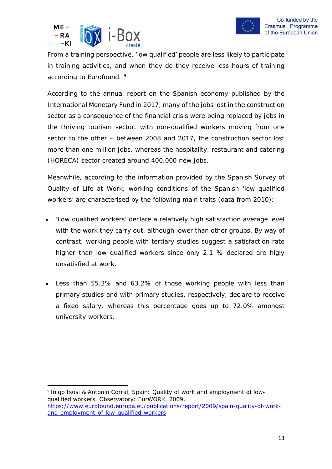



From a training perspective, 'low qualified' people are less likely to participate in training activities, and when they do they receive less hours of training *according to Eurofound. [9](#page-12-0)*

According to the annual report on the Spanish economy published by the International Monetary Fund in 2017, many of the jobs lost in the construction sector as a consequence of the financial crisis were being replaced by jobs in the thriving tourism sector, with [non-qualified workers moving from one](https://elpais.com/economia/2017/10/27/actualidad/1509099659_325922.html)  [sector to the other](https://elpais.com/economia/2017/10/27/actualidad/1509099659_325922.html) – between 2008 and 2017, the construction sector lost more than one million jobs, whereas the hospitality, restaurant and catering (HORECA) sector created around 400,000 new jobs.

Meanwhile, according to the information provided by the [Spanish Survey of](http://www.mtin.es/estadisticas/ecvt/welcome.htm)  [Quality of Life at Work,](http://www.mtin.es/estadisticas/ecvt/welcome.htm) working conditions of the Spanish 'low qualified workers' are characterised by the following main traits (data from 2010):

- 'Low qualified workers' declare a relatively high satisfaction average level with the work they carry out, although lower than other groups. By way of contrast, working people with tertiary studies suggest a satisfaction rate higher than low qualified workers since only 2.1 % declared are higly unsatisfied at work.
- Less than 55.3% and 63.2% of those working people with less than primary studies and with primary studies, respectively, declare to receive a fixed salary, whereas this percentage goes up to 72.0% amongst university workers.

<span id="page-12-0"></span><sup>9</sup> Iñigo Isusi & Antonio Corral, Spain: Quality of work and employment of lowqualified workers, Observatory: EurWORK, 2009, [https://www.eurofound.europa.eu/publications/report/2009/spain-quality-of-work](https://www.eurofound.europa.eu/publications/report/2009/spain-quality-of-work-and-employment-of-low-qualified-workers)[and-employment-of-low-qualified-workers](https://www.eurofound.europa.eu/publications/report/2009/spain-quality-of-work-and-employment-of-low-qualified-workers)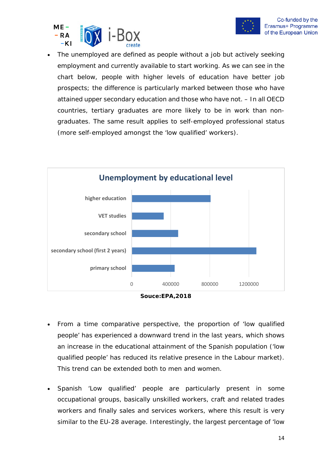



• The unemployed are defined as people without a job but actively seeking employment and currently available to start working. As we can see in the chart below, people with higher levels of education have better job prospects; the difference is particularly marked between those who have attained upper secondary education and those who have not. – In all OECD countries, tertiary graduates are more likely to be in work than nongraduates. The same result applies to self-employed professional status (more self-employed amongst the 'low qualified' workers).



**Souce:EPA,2018**

- From a time comparative perspective, the proportion of 'low qualified people' has experienced a downward trend in the last years, which shows an increase in the educational attainment of the Spanish population ('low qualified people' has reduced its relative presence in the Labour market). This trend can be extended both to men and women.
- Spanish 'Low qualified' people are particularly present in some occupational groups, basically unskilled workers, craft and related trades workers and finally sales and services workers, where this result is very similar to the EU-28 average. Interestingly, the largest percentage of 'low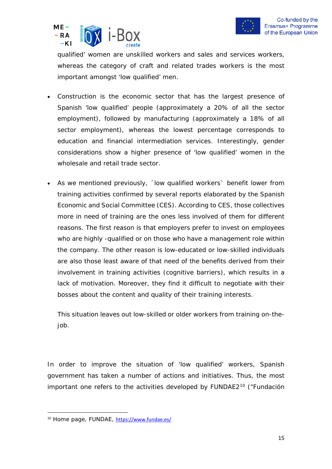



qualified' women are unskilled workers and sales and services workers, whereas the category of craft and related trades workers is the most important amongst 'low qualified' men.

- Construction is the economic sector that has the largest presence of Spanish 'low qualified' people (approximately a 20% of all the sector employment), followed by manufacturing (approximately a 18% of all sector employment), whereas the lowest percentage corresponds to education and financial intermediation services. Interestingly, gender considerations show a higher presence of 'low qualified' women in the wholesale and retail trade sector.
- As we mentioned previously, ´low qualified workers` benefit lower from training activities confirmed by several reports elaborated by the Spanish [Economic and Social Committee \(](http://www.ces.es/)CES). According to CES, those collectives more in need of training are the ones less involved of them for different reasons. The first reason is that employers prefer to invest on employees who are highly -qualified or on those who have a management role within the company. The other reason is low-educated or low-skilled individuals are also those least aware of that need of the benefits derived from their involvement in training activities (cognitive barriers), which results in a lack of motivation. Moreover, they find it difficult to negotiate with their bosses about the content and quality of their training interests.

This situation leaves out low-skilled or older workers from training on-thejob.

In order to improve the situation of 'low qualified' workers, Spanish government has taken a number of actions and initiatives. Thus, the most important one refers to the activities developed by FUNDAE2<sup>10</sup> ("Fundación

<span id="page-14-0"></span><sup>10</sup> Home page, FUNDAE, <https://www.fundae.es/>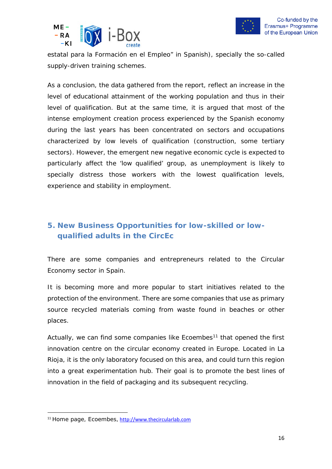



estatal para la Formación en el Empleo" in Spanish), specially the so-called supply-driven training schemes.

As a conclusion, the data gathered from the report, reflect an increase in the level of educational attainment of the working population and thus in their level of qualification. But at the same time, it is argued that most of the intense employment creation process experienced by the Spanish economy during the last years has been concentrated on sectors and occupations characterized by low levels of qualification (construction, some tertiary sectors). However, the emergent new negative economic cycle is expected to particularly affect the 'low qualified' group, as unemployment is likely to specially distress those workers with the lowest qualification levels, experience and stability in employment.

#### <span id="page-15-0"></span>**5. New Business Opportunities for low-skilled or lowqualified adults in the CircEc**

There are some companies and entrepreneurs related to the Circular Economy sector in Spain.

It is becoming more and more popular to start initiatives related to the protection of the environment. There are some companies that use as primary source recycled materials coming from waste found in beaches or other places.

Actually, we can find some companies like *Ecoembes[11](#page-15-1)* that opened the first innovation centre on the circular economy created in Europe. Located in La Rioja, it is the only laboratory focused on this area, and could turn this region into a great experimentation hub. Their goal is to promote the best lines of innovation in the field of packaging and its subsequent recycling.

<span id="page-15-1"></span><sup>11</sup> Home page, Ecoembes, [http://www.thecircularlab.com](http://www.thecircularlab.com/)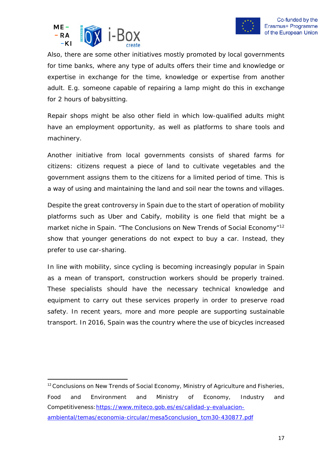



Also, there are some other initiatives mostly promoted by local governments for time banks, where any type of adults offers their time and knowledge or expertise in exchange for the time, knowledge or expertise from another adult. E.g. someone capable of repairing a lamp might do this in exchange for 2 hours of babysitting.

Repair shops might be also other field in which low-qualified adults might have an employment opportunity, as well as platforms to share tools and machinery.

Another initiative from local governments consists of shared farms for citizens: citizens request a piece of land to cultivate vegetables and the government assigns them to the citizens for a limited period of time. This is a way of using and maintaining the land and soil near the towns and villages.

Despite the great controversy in Spain due to the start of operation of mobility platforms such as Uber and Cabify, mobility is one field that might be a market niche in Spain. "The Conclusions on New Trends of Social Economy"<sup>[12](#page-16-0)</sup> show that younger generations do not expect to buy a car. Instead, they prefer to use car-sharing.

In line with mobility, since cycling is becoming increasingly popular in Spain as a mean of transport, construction workers should be properly trained. These specialists should have the necessary technical knowledge and equipment to carry out these services properly in order to preserve road safety. In recent years, more and more people are supporting sustainable transport. In 2016, Spain was the country where the use of bicycles increased

<span id="page-16-0"></span><sup>&</sup>lt;sup>12</sup> Conclusions on New Trends of Social Economy, Ministry of Agriculture and Fisheries, Food and Environment and Ministry of Economy, Industry and Competitiveness[:https://www.miteco.gob.es/es/calidad-y-evaluacion](https://www.miteco.gob.es/es/calidad-y-evaluacion-ambiental/temas/economia-circular/mesa5conclusion_tcm30-430877.pdf)[ambiental/temas/economia-circular/mesa5conclusion\\_tcm30-430877.pdf](https://www.miteco.gob.es/es/calidad-y-evaluacion-ambiental/temas/economia-circular/mesa5conclusion_tcm30-430877.pdf)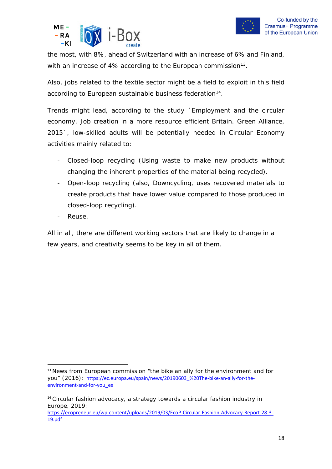



the most, with 8%, ahead of Switzerland with an increase of 6% and Finland, with an increase of 4% according to the *European commission*[13.](#page-17-0)

Also, jobs related to the textile sector might be a field to exploit in this field according to *European sustainable business federation[14](#page-17-1)*.

Trends might lead, according to the study ´*Employment and the circular economy. Job creation in a more resource efficient Britain. Green Alliance, 2015`,* low-skilled adults will be potentially needed in Circular Economy activities mainly related to:

- Closed-loop recycling (Using waste to make new products without changing the inherent properties of the material being recycled).
- Open-loop recycling (also, Downcycling, uses recovered materials to create products that have lower value compared to those produced in closed-loop recycling).
- Reuse.

All in all, there are different working sectors that are likely to change in a few years, and creativity seems to be key in all of them.

<span id="page-17-0"></span><sup>&</sup>lt;sup>13</sup> News from European commission "the bike an ally for the environment and for you" (2016): [https://ec.europa.eu/spain/news/20190603\\_%20The-bike-an-ally-for-the](https://ec.europa.eu/spain/news/20190603_%20The-bike-an-ally-for-the-environment-and-for-you_es)[environment-and-for-you\\_es](https://ec.europa.eu/spain/news/20190603_%20The-bike-an-ally-for-the-environment-and-for-you_es)

<span id="page-17-1"></span><sup>&</sup>lt;sup>14</sup> Circular fashion advocacy, a strategy towards a circular fashion industry in Europe, 2019: [https://ecopreneur.eu/wp-content/uploads/2019/03/EcoP-Circular-Fashion-Advocacy-Report-28-3-](https://ecopreneur.eu/wp-content/uploads/2019/03/EcoP-Circular-Fashion-Advocacy-Report-28-3-19.pdf)

[<sup>19.</sup>pdf](https://ecopreneur.eu/wp-content/uploads/2019/03/EcoP-Circular-Fashion-Advocacy-Report-28-3-19.pdf)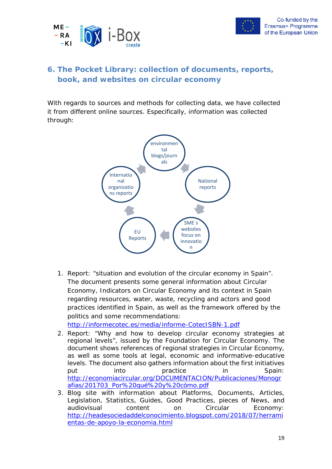



#### <span id="page-18-0"></span>**6. The Pocket Library: collection of documents, reports, book, and websites on circular economy**

With regards to sources and methods for collecting data, we have collected it from different online sources. Especifically, information was collected through:



1. Report: "situation and evolution of the circular economy in Spain". The document presents some general information about Circular Economy, Indicators on Circular Economy and its context in Spain regarding resources, water, waste, recycling and actors and good practices identified in Spain, as well as the framework offered by the politics and some recommendations:

<http://informecotec.es/media/informe-CotecISBN-1.pdf>

- 2. Report: "Why and how to develop circular economy strategies at regional levels", issued by the Foundation for Circular Economy. The document shows references of regional strategies in Circular Economy, as well as some tools at legal, economic and informative-educative levels. The document also gathers information about the first initiatives put into practice in Spain: [http://economiacircular.org/DOCUMENTACION/Publicaciones/Monogr](http://economiacircular.org/DOCUMENTACION/Publicaciones/Monografias/201703_Por%20qu%C3%A9%20y%20c%C3%B3mo.pdf) [afias/201703\\_Por%20qué%20y%20cómo.pdf](http://economiacircular.org/DOCUMENTACION/Publicaciones/Monografias/201703_Por%20qu%C3%A9%20y%20c%C3%B3mo.pdf)
- 3. Blog site with information about Platforms, Documents, Articles, Legislation, Statistics, Guides, Good Practices, pieces of News, and audiovisual content on Circular Economy: [http://headesociedaddelconocimiento.blogspot.com/2018/07/herrami](http://headesociedaddelconocimiento.blogspot.com/2018/07/herramientas-de-apoyo-la-economia.html) [entas-de-apoyo-la-economia.html](http://headesociedaddelconocimiento.blogspot.com/2018/07/herramientas-de-apoyo-la-economia.html)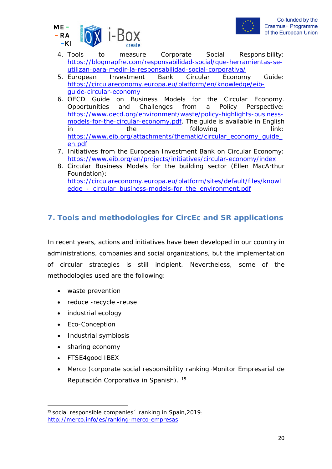



- 4. Tools to measure Corporate Social Responsibility: [https://blogmapfre.com/responsabilidad-social/que-herramientas-se](https://blogmapfre.com/responsabilidad-social/que-herramientas-se-utilizan-para-medir-la-responsabilidad-social-corporativa/)[utilizan-para-medir-la-responsabilidad-social-corporativa/](https://blogmapfre.com/responsabilidad-social/que-herramientas-se-utilizan-para-medir-la-responsabilidad-social-corporativa/)
- 5. European Investment Bank Circular Economy Guide: [https://circulareconomy.europa.eu/platform/en/knowledge/eib](https://circulareconomy.europa.eu/platform/en/knowledge/eib-guide-circular-economy)[guide-circular-economy](https://circulareconomy.europa.eu/platform/en/knowledge/eib-guide-circular-economy)
- 6. OECD Guide on Business Models for the Circular Economy. Opportunities and Challenges from a Policy Perspective: [https://www.oecd.org/environment/waste/policy-highlights-business](https://www.oecd.org/environment/waste/policy-highlights-business-models-for-the-circular-economy.pdf)[models-for-the-circular-economy.pdf.](https://www.oecd.org/environment/waste/policy-highlights-business-models-for-the-circular-economy.pdf) The guide is available in English in the following the following that the state of the following the link: [https://www.eib.org/attachments/thematic/circular\\_economy\\_guide\\_](https://www.eib.org/attachments/thematic/circular_economy_guide_en.pdf) [en.pdf](https://www.eib.org/attachments/thematic/circular_economy_guide_en.pdf)
- 7. Initiatives from the European Investment Bank on Circular Economy: <https://www.eib.org/en/projects/initiatives/circular-economy/index>
- 8. Circular Business Models for the building sector (Ellen MacArthur Foundation): [https://circulareconomy.europa.eu/platform/sites/default/files/knowl](https://circulareconomy.europa.eu/platform/sites/default/files/knowledge_-_circular_business-models-for_the_environment.pdf) edge - circular business-models-for the environment.pdf

#### <span id="page-19-0"></span>**7. Tools and methodologies for CircEc and SR applications**

In recent years, actions and initiatives have been developed in our country in administrations, companies and social organizations, but the implementation of circular strategies is still incipient. Nevertheless, some of the methodologies used are the following:

- waste prevention
- reduce -recycle -reuse
- industrial ecology
- Eco-Conception
- [Industrial symbiosis](https://en.wikipedia.org/wiki/Industrial_symbiosis)
- sharing economy
- FTSE4good IBEX
- Merco (corporate social responsibility ranking -Monitor Empresarial de Reputación Corporativa in Spanish). [15](#page-19-1)

<span id="page-19-1"></span><sup>&</sup>lt;sup>15</sup> social responsible companies <sup>2</sup> ranking in Spain, 2019: <http://merco.info/es/ranking-merco-empresas>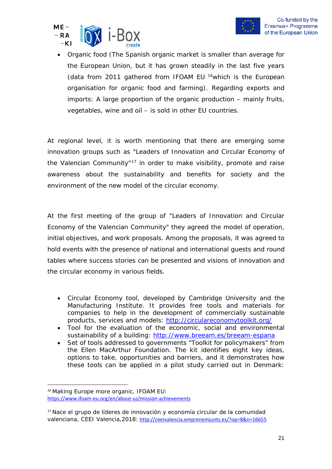



• Organic food (The Spanish organic market is smaller than average for the European Union, but it has grown steadily in the last five years (data from 2011 gathered from *IFOAM EU* [16](#page-20-0)which is the European organisation for organic food and farming). Regarding exports and imports: A large proportion of the organic production – mainly fruits, vegetables, wine and oil – is sold in other EU countries.

At regional level, it is worth mentioning that there are emerging some innovation groups such as "Leaders of Innovation and Circular Economy of the Valencian Community"<sup>[17](#page-20-1)</sup> in order to make visibility, promote and raise awareness about the sustainability and benefits for society and the environment of the new model of the circular economy.

At the first meeting of the group of "Leaders of Innovation and Circular Economy of the Valencian Community" they agreed the model of operation, initial objectives, and work proposals. Among the proposals, it was agreed to hold events with the presence of national and international guests and round tables where success stories can be presented and visions of innovation and the circular economy in various fields.

- Circular Economy tool, developed by Cambridge University and the Manufacturing Institute. It provides free tools and materials for companies to help in the development of commercially sustainable products, services and models:<http://circulareconomytoolkit.org/>
- Tool for the evaluation of the economic, social and environmental sustainability of a building:<http://www.breeam.es/breeam-espana>
- Set of tools addressed to governments "Toolkit for policymakers" from the Ellen MacArthur Foundation. The kit identifies eight key ideas, options to take, opportunities and barriers, and it demonstrates how these tools can be applied in a pilot study carried out in Denmark:

<span id="page-20-0"></span><sup>16</sup> Making Europe more organic, IFOAM EU: <https://www.ifoam-eu.org/en/about-us/mission-achievements>

<span id="page-20-1"></span><sup>&</sup>lt;sup>17</sup> Nace el grupo de líderes de innovación y economía circular de la comunidad valenciana, CEEI Valencia,2018: <http://ceeivalencia.emprenemjunts.es/?op=8&n=16655>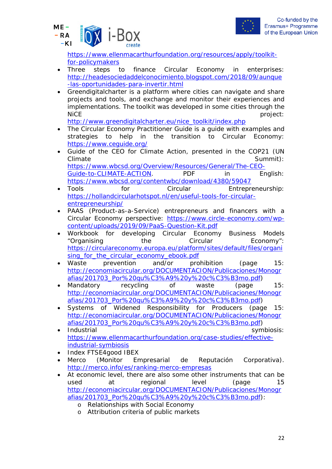



[https://www.ellenmacarthurfoundation.org/resources/apply/toolkit](https://www.ellenmacarthurfoundation.org/resources/apply/toolkit-for-policymakers)[for-policymakers](https://www.ellenmacarthurfoundation.org/resources/apply/toolkit-for-policymakers)

- Three steps to finance Circular Economy in enterprises: [http://headesociedaddelconocimiento.blogspot.com/2018/09/aunque](http://headesociedaddelconocimiento.blogspot.com/2018/09/aunque-las-oportunidades-para-invertir.html) [-las-oportunidades-para-invertir.html](http://headesociedaddelconocimiento.blogspot.com/2018/09/aunque-las-oportunidades-para-invertir.html)
- Greendigitalcharter is a platform where cities can navigate and share projects and tools, and exchange and monitor their experiences and implementations. The toolkit was developed in some cities through the NICE project:

[http://www.greendigitalcharter.eu/nice\\_toolkit/index.php](http://www.greendigitalcharter.eu/nice_toolkit/index.php)

- The Circular Economy Practitioner Guide is a guide with examples and strategies to help in the transition to Circular Economy: <https://www.ceguide.org/>
- Guide of the CEO for Climate Action, presented in the COP21 (UN Climate Summit): [https://www.wbcsd.org/Overview/Resources/General/The-CEO-](https://www.wbcsd.org/Overview/Resources/General/The-CEO-Guide-to-CLIMATE-ACTION)[Guide-to-CLIMATE-ACTION.](https://www.wbcsd.org/Overview/Resources/General/The-CEO-Guide-to-CLIMATE-ACTION) PDF in English: <https://www.wbcsd.org/contentwbc/download/4380/59047>
- Tools for Circular Entrepreneurship: [https://hollandcircularhotspot.nl/en/useful-tools-for-circular](https://hollandcircularhotspot.nl/en/useful-tools-for-circular-entrepreneurship/)[entrepreneurship/](https://hollandcircularhotspot.nl/en/useful-tools-for-circular-entrepreneurship/)
- PAAS (Product-as-a-Service) entrepreneurs and financers with a Circular Economy perspective: [https://www.circle-economy.com/wp](https://www.circle-economy.com/wp-content/uploads/2019/09/PaaS-Question-Kit.pdf)[content/uploads/2019/09/PaaS-Question-Kit.pdf](https://www.circle-economy.com/wp-content/uploads/2019/09/PaaS-Question-Kit.pdf)
- Workbook for developing Circular Economy Business Models "Organising the Circular Economy": [https://circulareconomy.europa.eu/platform/sites/default/files/organi](https://circulareconomy.europa.eu/platform/sites/default/files/organising_for_the_circular_economy_ebook.pdf) [sing\\_for\\_the\\_circular\\_economy\\_ebook.pdf](https://circulareconomy.europa.eu/platform/sites/default/files/organising_for_the_circular_economy_ebook.pdf)
- Waste prevention and/or prohibition (page 15: [http://economiacircular.org/DOCUMENTACION/Publicaciones/Monogr](http://economiacircular.org/DOCUMENTACION/Publicaciones/Monografias/201703_Por%20qu%C3%A9%20y%20c%C3%B3mo.pdf) [afias/201703\\_Por%20qu%C3%A9%20y%20c%C3%B3mo.pdf\)](http://economiacircular.org/DOCUMENTACION/Publicaciones/Monografias/201703_Por%20qu%C3%A9%20y%20c%C3%B3mo.pdf)
- Mandatory recycling of waste (page 15: [http://economiacircular.org/DOCUMENTACION/Publicaciones/Monogr](http://economiacircular.org/DOCUMENTACION/Publicaciones/Monografias/201703_Por%20qu%C3%A9%20y%20c%C3%B3mo.pdf) [afias/201703\\_Por%20qu%C3%A9%20y%20c%C3%B3mo.pdf\)](http://economiacircular.org/DOCUMENTACION/Publicaciones/Monografias/201703_Por%20qu%C3%A9%20y%20c%C3%B3mo.pdf)
- Systems of Widened Responsibility for Producers (page 15: [http://economiacircular.org/DOCUMENTACION/Publicaciones/Monogr](http://economiacircular.org/DOCUMENTACION/Publicaciones/Monografias/201703_Por%20qu%C3%A9%20y%20c%C3%B3mo.pdf) [afias/201703\\_Por%20qu%C3%A9%20y%20c%C3%B3mo.pdf\)](http://economiacircular.org/DOCUMENTACION/Publicaciones/Monografias/201703_Por%20qu%C3%A9%20y%20c%C3%B3mo.pdf)
- Industrial expression of the symbiosis: [https://www.ellenmacarthurfoundation.org/case-studies/effective](https://www.ellenmacarthurfoundation.org/case-studies/effective-industrial-symbiosis)[industrial-symbiosis](https://www.ellenmacarthurfoundation.org/case-studies/effective-industrial-symbiosis)
- Index FTSE4good IBEX
- Merco (Monitor Empresarial de Reputación Corporativa). <http://merco.info/es/ranking-merco-empresas>
- At economic level, there are also some other instruments that can be used at regional level (page 15 [http://economiacircular.org/DOCUMENTACION/Publicaciones/Monogr](http://economiacircular.org/DOCUMENTACION/Publicaciones/Monografias/201703_Por%20qu%C3%A9%20y%20c%C3%B3mo.pdf) [afias/201703\\_Por%20qu%C3%A9%20y%20c%C3%B3mo.pdf\)](http://economiacircular.org/DOCUMENTACION/Publicaciones/Monografias/201703_Por%20qu%C3%A9%20y%20c%C3%B3mo.pdf):
	- o Relationships with Social Economy
	- o Attribution criteria of public markets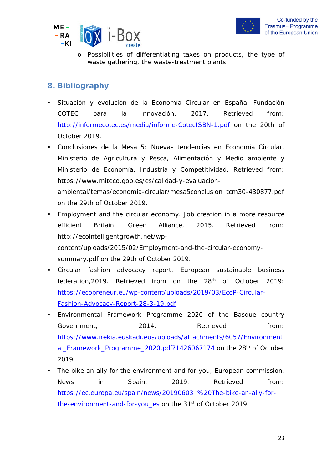



o Possibilities of differentiating taxes on products, the type of waste gathering, the waste-treatment plants.

#### **8. Bibliography**

- Situación y evolución de la Economía Circular en España. Fundación COTEC para la innovación. 2017. Retrieved from: <http://informecotec.es/media/informe-CotecISBN-1.pdf> on the 20th of October 2019.
- Conclusiones de la Mesa 5: Nuevas tendencias en Economía Circular. Ministerio de Agricultura y Pesca, Alimentación y Medio ambiente y Ministerio de Economía, Industria y Competitividad. Retrieved from: [https://www.miteco.gob.es/es/calidad-y-evaluacion](https://www.miteco.gob.es/es/calidad-y-evaluacion-ambiental/temas/economia-circular/mesa5conclusion_tcm30-430877.pdf)[ambiental/temas/economia-circular/mesa5conclusion\\_tcm30-430877.pdf](https://www.miteco.gob.es/es/calidad-y-evaluacion-ambiental/temas/economia-circular/mesa5conclusion_tcm30-430877.pdf) on the 29th of October 2019.
- Employment and the circular economy. Job creation in a more resource efficient Britain. Green Alliance, 2015. Retrieved from: [http://ecointelligentgrowth.net/wp](http://ecointelligentgrowth.net/wp-content/uploads/2015/02/Employment-and-the-circular-economy-summary.pdf)[content/uploads/2015/02/Employment-and-the-circular-economy](http://ecointelligentgrowth.net/wp-content/uploads/2015/02/Employment-and-the-circular-economy-summary.pdf)[summary.pdf](http://ecointelligentgrowth.net/wp-content/uploads/2015/02/Employment-and-the-circular-economy-summary.pdf) on the 29th of October 2019.
- Circular fashion advocacy report. European sustainable business federation, 2019. Retrieved from on the 28<sup>th</sup> of October 2019: [https://ecopreneur.eu/wp-content/uploads/2019/03/EcoP-Circular-](https://ecopreneur.eu/wp-content/uploads/2019/03/EcoP-Circular-Fashion-Advocacy-Report-28-3-19.pdf)[Fashion-Advocacy-Report-28-3-19.pdf](https://ecopreneur.eu/wp-content/uploads/2019/03/EcoP-Circular-Fashion-Advocacy-Report-28-3-19.pdf)
- Environmental Framework Programme 2020 of the Basque country Government, 2014. Retrieved from: [https://www.irekia.euskadi.eus/uploads/attachments/6057/Environment](https://www.irekia.euskadi.eus/uploads/attachments/6057/Environmental_Framework_Programme_2020.pdf?1426067174) al Framework Programme 2020.pdf?1426067174 on the 28<sup>th</sup> of October 2019.
- The bike an ally for the environment and for you, European commission. News in Spain, 2019. Retrieved from: [https://ec.europa.eu/spain/news/20190603\\_%20The-bike-an-ally-for](https://ec.europa.eu/spain/news/20190603_%20The-bike-an-ally-for-the-environment-and-for-you_es)[the-environment-and-for-you\\_es](https://ec.europa.eu/spain/news/20190603_%20The-bike-an-ally-for-the-environment-and-for-you_es) on the 31<sup>st</sup> of October 2019.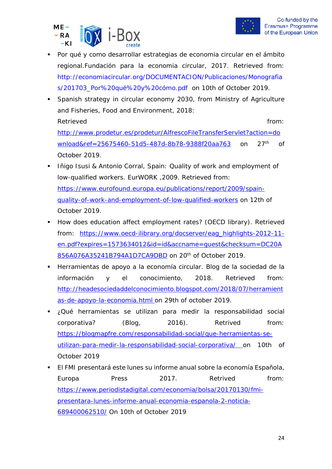



- Por qué y como desarrollar estrategias de economia circular en el ámbito regional.Fundación para la economia circular, 2017. Retrieved from: [http://economiacircular.org/DOCUMENTACION/Publicaciones/Monografia](http://economiacircular.org/DOCUMENTACION/Publicaciones/Monografias/201703_Por%20qu%C3%A9%20y%20c%C3%B3mo.pdf) [s/201703\\_Por%20qué%20y%20cómo.pdf](http://economiacircular.org/DOCUMENTACION/Publicaciones/Monografias/201703_Por%20qu%C3%A9%20y%20c%C3%B3mo.pdf) on 10th of October 2019.
- Spanish strategy in circular economy 2030, from Ministry of Agriculture and Fisheries, Food and Environment, 2018: Retrieved **from:** the contract of the contract of the contract of the contract of the contract of the contract of the contract of the contract of the contract of the contract of the contract of the contract of the contract [http://www.prodetur.es/prodetur/AlfrescoFileTransferServlet?action=do](http://www.prodetur.es/prodetur/AlfrescoFileTransferServlet?action=download&ref=25675460-51d5-487d-8b78-9388f20aa763)

[wnload&ref=25675460-51d5-487d-8b78-9388f20aa763](http://www.prodetur.es/prodetur/AlfrescoFileTransferServlet?action=download&ref=25675460-51d5-487d-8b78-9388f20aa763) on 27<sup>th</sup> of October 2019.

- Iñigo Isusi & Antonio Corral, Spain: Quality of work and employment of low-qualified workers. EurWORK ,2009. Retrieved from: [https://www.eurofound.europa.eu/publications/report/2009/spain](https://www.eurofound.europa.eu/publications/report/2009/spain-quality-of-work-and-employment-of-low-qualified-workers)[quality-of-work-and-employment-of-low-qualified-workers](https://www.eurofound.europa.eu/publications/report/2009/spain-quality-of-work-and-employment-of-low-qualified-workers) on 12th of October 2019.
- How does education affect employment rates? (OECD library). Retrieved from: [https://www.oecd-ilibrary.org/docserver/eag\\_highlights-2012-11](https://www.oecd-ilibrary.org/docserver/eag_highlights-2012-11-en.pdf?expires=1573634012&id=id&accname=guest&checksum=DC20A856A076A35241B794A1D7CA9DBD) [en.pdf?expires=1573634012&id=id&accname=guest&checksum=DC20A](https://www.oecd-ilibrary.org/docserver/eag_highlights-2012-11-en.pdf?expires=1573634012&id=id&accname=guest&checksum=DC20A856A076A35241B794A1D7CA9DBD) [856A076A35241B794A1D7CA9DBD](https://www.oecd-ilibrary.org/docserver/eag_highlights-2012-11-en.pdf?expires=1573634012&id=id&accname=guest&checksum=DC20A856A076A35241B794A1D7CA9DBD) on 20th of October 2019.
- Herramientas de apoyo a la economía circular. Blog de la sociedad de la información y el conocimiento, 2018. Retrieved from: [http://headesociedaddelconocimiento.blogspot.com/2018/07/herramient](http://headesociedaddelconocimiento.blogspot.com/2018/07/herramientas-de-apoyo-la-economia.html) [as-de-apoyo-la-economia.html](http://headesociedaddelconocimiento.blogspot.com/2018/07/herramientas-de-apoyo-la-economia.html) on 29th of october 2019.
- ¿Qué herramientas se utilizan para medir la responsabilidad social corporativa? (Blog, 2016). Retrived from: [https://blogmapfre.com/responsabilidad-social/que-herramientas-se](https://blogmapfre.com/responsabilidad-social/que-herramientas-se-utilizan-para-medir-la-responsabilidad-social-corporativa/)[utilizan-para-medir-la-responsabilidad-social-corporativa/](https://blogmapfre.com/responsabilidad-social/que-herramientas-se-utilizan-para-medir-la-responsabilidad-social-corporativa/) on 10th of October 2019
- El FMI presentará este lunes su informe anual sobre la economía Española, Europa Press 2017. Retrived from: [https://www.periodistadigital.com/economia/bolsa/20170130/fmi](https://www.periodistadigital.com/economia/bolsa/20170130/fmi-%20presentara-lunes-informe-anual-economia-espanola-2-noticia-689400062510/)[presentara-lunes-informe-anual-economia-espanola-2-noticia-](https://www.periodistadigital.com/economia/bolsa/20170130/fmi-%20presentara-lunes-informe-anual-economia-espanola-2-noticia-689400062510/)[689400062510/](https://www.periodistadigital.com/economia/bolsa/20170130/fmi-%20presentara-lunes-informe-anual-economia-espanola-2-noticia-689400062510/) On 10th of October 2019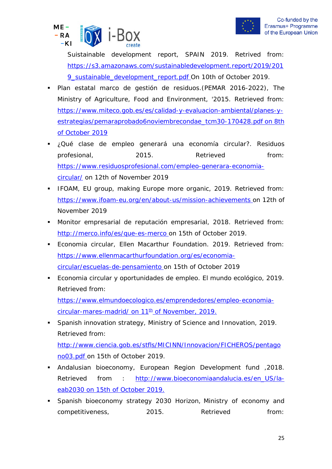



Suistainable development report, SPAIN 2019. Retrived from: [https://s3.amazonaws.com/sustainabledevelopment.report/2019/201](https://s3.amazonaws.com/sustainabledevelopment.report/2019/2019_sustainable_development_report.pdf) [9\\_sustainable\\_development\\_report.pdf](https://s3.amazonaws.com/sustainabledevelopment.report/2019/2019_sustainable_development_report.pdf) On 10th of October 2019.

- Plan estatal marco de gestión de residuos.(PEMAR 2016-2022), The Ministry of Agriculture, Food and Environment, '2015. Retrieved from: [https://www.miteco.gob.es/es/calidad-y-evaluacion-ambiental/planes-y](https://www.miteco.gob.es/es/calidad-y-evaluacion-ambiental/planes-y-estrategias/pemaraprobado6noviembrecondae_tcm30-170428.pdf)[estrategias/pemaraprobado6noviembrecondae\\_tcm30-170428.pdf](https://www.miteco.gob.es/es/calidad-y-evaluacion-ambiental/planes-y-estrategias/pemaraprobado6noviembrecondae_tcm30-170428.pdf) on 8th of October 2019
- ¿Qué clase de empleo generará una economía circular?. Residuos profesional, 2015. Retrieved from: [https://www.residuosprofesional.com/empleo-generara-economia](https://www.residuosprofesional.com/empleo-generara-economia-circular/)[circular/](https://www.residuosprofesional.com/empleo-generara-economia-circular/) on 12th of November 2019
- **IFOAM, EU group, making Europe more organic, 2019. Retrieved from:** <https://www.ifoam-eu.org/en/about-us/mission-achievements> on 12th of November 2019
- Monitor empresarial de reputación empresarial, 2018. Retrieved from: <http://merco.info/es/que-es-merco> on 15th of October 2019.
- **Economia circular, Ellen Macarthur Foundation. 2019. Retrieved from:** [https://www.ellenmacarthurfoundation.org/es/economia](https://www.ellenmacarthurfoundation.org/es/economia-circular/escuelas-de-pensamiento)[circular/escuelas-de-pensamiento](https://www.ellenmacarthurfoundation.org/es/economia-circular/escuelas-de-pensamiento) on 15th of October 2019
- Economia circular y oportunidades de empleo. El mundo ecológico, 2019. Retrieved from: [https://www.elmundoecologico.es/emprendedores/empleo-economia-](https://www.elmundoecologico.es/emprendedores/empleo-economia-circular-mares-madrid/)

[circular-mares-madrid/](https://www.elmundoecologico.es/emprendedores/empleo-economia-circular-mares-madrid/) on  $11<sup>th</sup>$  of November, 2019.

**Spanish innovation strategy, Ministry of Science and Innovation, 2019.** Retrieved from:

[http://www.ciencia.gob.es/stfls/MICINN/Innovacion/FICHEROS/pentago](http://www.ciencia.gob.es/stfls/MICINN/Innovacion/FICHEROS/pentagono03.pdf) [no03.pdf](http://www.ciencia.gob.es/stfls/MICINN/Innovacion/FICHEROS/pentagono03.pdf) on 15th of October 2019.

- Andalusian bioeconomy, European Region Development fund ,2018. Retrieved from : [http://www.bioeconomiaandalucia.es/en\\_US/la](http://www.bioeconomiaandalucia.es/en_US/la-eab2030)[eab2030](http://www.bioeconomiaandalucia.es/en_US/la-eab2030) on 15th of October 2019.
- Spanish bioeconomy strategy 2030 Horizon, Ministry of economy and competitiveness, 2015. Retrieved from: